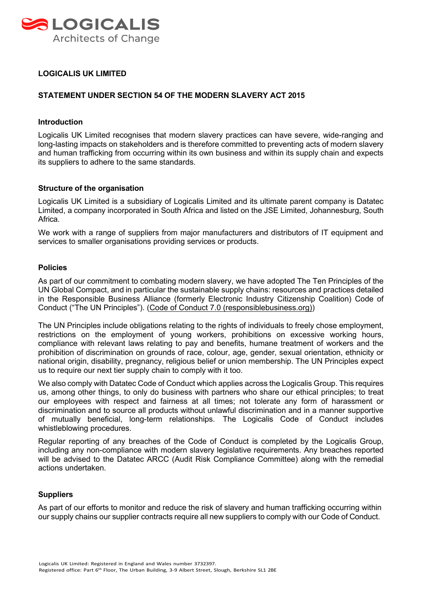

## **LOGICALIS UK LIMITED**

## **STATEMENT UNDER SECTION 54 OF THE MODERN SLAVERY ACT 2015**

#### **Introduction**

Logicalis UK Limited recognises that modern slavery practices can have severe, wide-ranging and long-lasting impacts on stakeholders and is therefore committed to preventing acts of modern slavery and human trafficking from occurring within its own business and within its supply chain and expects its suppliers to adhere to the same standards.

### **Structure of the organisation**

Logicalis UK Limited is a subsidiary of Logicalis Limited and its ultimate parent company is Datatec Limited, a company incorporated in South Africa and listed on the JSE Limited, Johannesburg, South Africa.

We work with a range of suppliers from major manufacturers and distributors of IT equipment and services to smaller organisations providing services or products.

#### **Policies**

As part of our commitment to combating modern slavery, we have adopted The Ten Principles of the UN Global Compact, and in particular the sustainable supply chains: resources and practices detailed in the Responsible Business Alliance (formerly Electronic Industry Citizenship Coalition) Code of Conduct ("The UN Principles"). [\(Code of Conduct 7.0 \(responsiblebusiness.org\)\)](http://www.responsiblebusiness.org/code-of-conduct/)

The UN Principles include obligations relating to the rights of individuals to freely chose employment, restrictions on the employment of young workers, prohibitions on excessive working hours, compliance with relevant laws relating to pay and benefits, humane treatment of workers and the prohibition of discrimination on grounds of race, colour, age, gender, sexual orientation, ethnicity or national origin, disability, pregnancy, religious belief or union membership. The UN Principles expect us to require our next tier supply chain to comply with it too.

We also comply with Datatec Code of Conduct which applies across the Logicalis Group. This requires us, among other things, to only do business with partners who share our ethical principles; to treat our employees with respect and fairness at all times; not tolerate any form of harassment or discrimination and to source all products without unlawful discrimination and in a manner supportive of mutually beneficial, long-term relationships. The Logicalis Code of Conduct includes whistleblowing procedures.

Regular reporting of any breaches of the Code of Conduct is completed by the Logicalis Group, including any non-compliance with modern slavery legislative requirements. Any breaches reported will be advised to the Datatec ARCC (Audit Risk Compliance Committee) along with the remedial actions undertaken.

### **Suppliers**

As part of our efforts to monitor and reduce the risk of slavery and human trafficking occurring within our supply chains our supplier contracts require all new suppliers to comply with our Code of Conduct.